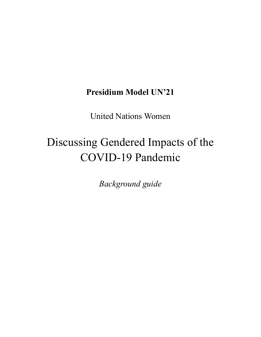# **Presidium Model UN'21**

United Nations Women

# Discussing Gendered Impacts of the COVID-19 Pandemic

*Background guide*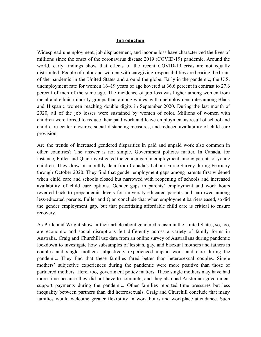#### **Introduction**

Widespread unemployment, job displacement, and income loss have characterized the lives of millions since the onset of the coronavirus disease 2019 (COVID-19) pandemic. Around the world, early findings show that effects of the recent COVID-19 crisis are not equally distributed. People of color and women with caregiving responsibilities are bearing the brunt of the pandemic in the United States and around the globe. Early in the pandemic, the U.S. unemployment rate for women 16–19 years of age hovered at 36.6 percent in contrast to 27.6 percent of men of the same age. The incidence of job loss was higher among women from racial and ethnic minority groups than among whites, with unemployment rates among Black and Hispanic women reaching double digits in September 2020. During the last month of 2020, all of the job losses were sustained by women of color. Millions of women with children were forced to reduce their paid work and leave employment as result of school and child care center closures, social distancing measures, and reduced availability of child care provision.

Are the trends of increased gendered disparities in paid and unpaid work also common in other countries? The answer is not simple. Government policies matter. In Canada, for instance, Fuller and Qian investigated the gender gap in employment among parents of young children. They draw on monthly data from Canada's Labour Force Survey during February through October 2020. They find that gender employment gaps among parents first widened when child care and schools closed but narrowed with reopening of schools and increased availability of child care options. Gender gaps in parents' employment and work hours reverted back to prepandemic levels for university-educated parents and narrowed among less-educated parents. Fuller and Qian conclude that when employment barriers eased, so did the gender employment gap, but that prioritizing affordable child care is critical to ensure recovery.

As Pirtle and Wright show in their article about gendered racism in the United States, so, too, are economic and social disruptions felt differently across a variety of family forms in Australia. Craig and Churchill use data from an online survey of Australians during pandemic lockdown to investigate how subsamples of lesbian, gay, and bisexual mothers and fathers in couples and single mothers subjectively experienced unpaid work and care during the pandemic. They find that these families fared better than heterosexual couples. Single mothers' subjective experiences during the pandemic were more positive than those of partnered mothers. Here, too, government policy matters. These single mothers may have had more time because they did not have to commute, and they also had Australian government support payments during the pandemic. Other families reported time pressures but less inequality between partners than did heterosexuals. Craig and Churchill conclude that many families would welcome greater flexibility in work hours and workplace attendance. Such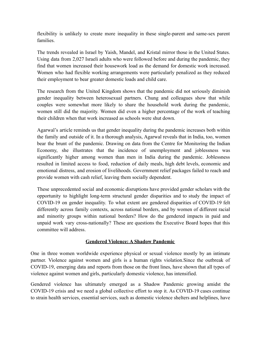flexibility is unlikely to create more inequality in these single-parent and same-sex parent families.

The trends revealed in Israel by Yaish, Mandel, and Kristal mirror those in the United States. Using data from 2,027 Israeli adults who were followed before and during the pandemic, they find that women increased their housework load as the demand for domestic work increased. Women who had flexible working arrangements were particularly penalized as they reduced their employment to bear greater domestic loads and child care.

The research from the United Kingdom shows that the pandemic did not seriously diminish gender inequality between heterosexual partners. Chung and colleagues show that while couples were somewhat more likely to share the household work during the pandemic, women still did the majority. Women did even a higher percentage of the work of teaching their children when that work increased as schools were shut down.

Agarwal's article reminds us that gender inequality during the pandemic increases both within the family and outside of it. In a thorough analysis, Agarwal reveals that in India, too, women bear the brunt of the pandemic. Drawing on data from the Centre for Monitoring the Indian Economy, she illustrates that the incidence of unemployment and joblessness was significantly higher among women than men in India during the pandemic. Joblessness resulted in limited access to food, reduction of daily meals, high debt levels, economic and emotional distress, and erosion of livelihoods. Government relief packages failed to reach and provide women with cash relief, leaving them socially dependent.

These unprecedented social and economic disruptions have provided gender scholars with the opportunity to highlight long-term structural gender disparities and to study the impact of COVID-19 on gender inequality. To what extent are gendered disparities of COVID-19 felt differently across family contexts, across national borders, and by women of different racial and minority groups within national borders? How do the gendered impacts in paid and unpaid work vary cross-nationally? These are questions the Executive Board hopes that this committee will address.

# **Gendered Violence: A Shadow Pandemic**

One in three women worldwide experience physical or sexual violence mostly by an intimate partner. Violence against women and girls is a human rights violation.Since the outbreak of COVID-19, emerging data and reports from those on the front lines, have shown that all types of violence against women and girls, particularly domestic violence, has intensified.

Gendered violence has ultimately emerged as a Shadow Pandemic growing amidst the COVID-19 crisis and we need a global collective effort to stop it. As COVID-19 cases continue to strain health services, essential services, such as domestic violence shelters and helplines, have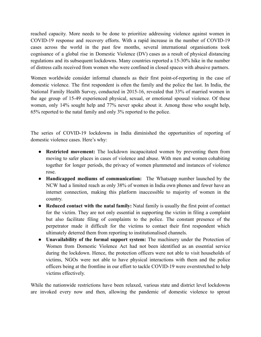reached capacity. More needs to be done to prioritize addressing violence against women in COVID-19 response and recovery efforts. With a rapid increase in the number of COVID-19 cases across the world in the past few months, several international organisations took cognisance of a global rise in Domestic Violence (DV) cases as a result of physical distancing regulations and its subsequent lockdowns. Many countries reported a 15-30% hike in the number of distress calls received from women who were confined in closed spaces with abusive partners.

Women worldwide consider informal channels as their first point-of-reporting in the case of domestic violence. The first respondent is often the family and the police the last. In India, the National Family Health Survey, conducted in 2015-16, revealed that 33% of married women in the age group of 15-49 experienced physical, sexual, or emotional spousal violence. Of these women, only 14% sought help and 77% never spoke about it. Among those who sought help, 65% reported to the natal family and only 3% reported to the police.

The series of COVID-19 lockdowns in India diminished the opportunities of reporting of domestic violence cases. Here's why:

- **Restricted movement:** The lockdown incapacitated women by preventing them from moving to safer places in cases of violence and abuse. With men and women cohabiting together for longer periods, the privacy of women plummeted and instances of violence rose.
- **Handicapped mediums of communication:** The Whatsapp number launched by the NCW had a limited reach as only 38% of women in India own phones and fewer have an internet connection, making this platform inaccessible to majority of women in the country.
- **Reduced contact with the natal family:** Natal family is usually the first point of contact for the victim. They are not only essential in supporting the victim in filing a complaint but also facilitate filing of complaints to the police. The constant presence of the perpetrator made it difficult for the victims to contact their first respondent which ultimately deterred them from reporting to institutionalised channels.
- **Unavailability of the formal support system:** The machinery under the Protection of Women from Domestic Violence Act had not been identified as an essential service during the lockdown. Hence, the protection officers were not able to visit households of victims, NGOs were not able to have physical interactions with them and the police officers being at the frontline in our effort to tackle COVID-19 were overstretched to help victims effectively.

While the nationwide restrictions have been relaxed, various state and district level lockdowns are invoked every now and then, allowing the pandemic of domestic violence to sprout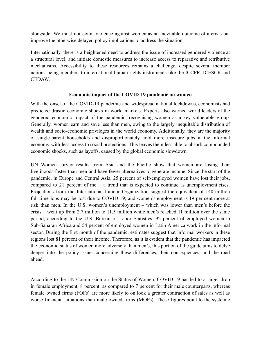alongside. We must not count violence against women as an inevitable outcome of a crisis but improve the otherwise delayed policy implications to address the situation.

Internationally, there is a heightened need to address the issue of increased gendered violence at a structural level, and initiate domestic measures to increase access to reparative and retributive mechanisms. Accessibility to these resources remains a challenge, despite several member nations being members to international human rights instruments like the ICCPR, ICESCR and CEDAW.

#### **Economic impact of the COVID-19 pandemic on women**

With the onset of the COVID-19 pandemic and widespread national lockdowns, economists had predicted drastic economic shocks in world markets. Experts also warned world leaders of the gendered economic impact of the pandemic, recognising women as a key vulnerable group. Generally, women earn and save less than men, owing to the largely inequitable distribution of wealth and socio-economic privileges in the world economy. Additionally, they are the majority of single-parent households and disproportionately hold more insecure jobs in the informal economy with less access to social protections. This leaves them less able to absorb compounded economic shocks, such as layoffs, caused by the global economic slowdown.

UN Women survey results from Asia and the Pacific show that women are losing their livelihoods faster than men and have fewer alternatives to generate income. Since the start of the pandemic, in Europe and Central Asia, 25 percent of self-employed women have lost their jobs, compared to 21 percent of me–– a trend that is expected to continue as unemployment rises. Projections from the International Labour Organization suggest the equivalent of 140 million full-time jobs may be lost due to COVID-19; and women's employment is 19 per cent more at risk than men. In the U.S, women's unemployment – which was lower than men's before the crisis – went up from 2.7 million to 11.5 million while men's reached 11 million over the same period, according to the U.S. Bureau of Labor Statistics. 92 percent of employed women in Sub-Saharan Africa and 54 percent of employed women in Latin America work in the informal sector. During the first month of the pandemic, estimates suggest that informal workers in these regions lost 81 percent of their income. Therefore, as it is evident that the pandemic has impacted the economic status of women more adversely than men's, this portion of the guide aims to delve deeper into the policy issues concerning these differences, their consequences, and the road ahead.

According to the UN Commission on the Status of Women, COVID-19 has led to a larger drop in female employment, 8 percent, as compared to 7 percent for their male counterparts, whereas female owned firms (FOFs) are more likely to on look a greater contraction of sales as well as worse financial situations than male owned firms (MOFs). These figures point to the systemic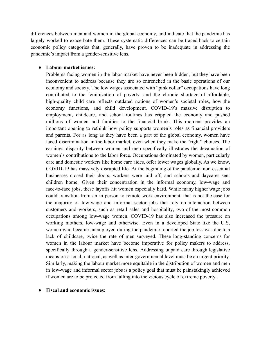differences between men and women in the global economy, and indicate that the pandemic has largely worked to exacerbate them. These systematic differences can be traced back to certain economic policy categories that, generally, have proven to be inadequate in addressing the pandemic's impact from a gender-sensitive lens.

#### **● Labour market issues:**

Problems facing women in the labor market have never been hidden, but they have been inconvenient to address because they are so entrenched in the basic operations of our economy and society. The low wages associated with "pink collar" occupations have long contributed to the feminization of poverty, and the chronic shortage of affordable, high-quality child care reflects outdated notions of women's societal roles, how the economy functions, and child development. COVID-19's massive disruption to employment, childcare, and school routines has crippled the economy and pushed millions of women and families to the financial brink. This moment provides an important opening to rethink how policy supports women's roles as financial providers and parents. For as long as they have been a part of the global economy, women have faced discrimination in the labor market, even when they make the "right" choices. The earnings disparity between women and men specifically illustrates the devaluation of women's contributions to the labor force. Occupations dominated by women, particularly [care](https://iwpr.org/job-quality-income-security/undervalued-and-underpaid-in-america/) and [domestic](https://www.epi.org/publication/in-home-workers/) workers like home care aides, offer lower wages globally. As we know, COVID-19 has massively disrupted life. At the beginning of the pandemic, non-essential businesses closed their doors, workers were laid off, and schools and daycares sent children home. Given their concentration in the informal economy, low-wage and face-to-face jobs, these layoffs hit women especially hard. While many higher wage jobs could transition from an in-person to remote work environment, that is not the case for the majority of low-wage and informal sector jobs that rely on interaction between customers and workers, such as retail sales and [hospitality,](https://www.npr.org/2020/05/09/853073274/women-bear-the-brunt-of-coronavirus-job-losses) two of the most common occupations among low-wage women. COVID-19 has also increased the pressure on working mothers, low-wage and otherwise. Even in a developed State like the U.S, women who became unemployed during the pandemic reported the job loss was due to a lack of childcare, twice the rate of men surveyed. These long-standing concerns for women in the labour market have become imperative for policy makers to address, specifically through a gender-sensitive lens. Addressing unpaid care through legislative means on a local, national, as well as inter-governmental level must be an urgent priority. Similarly, making the labour market more equitable in the distribution of women and men in low-wage and informal sector jobs is a policy goal that must be painstakingly achieved if women are to be protected from falling into the vicious cycle of extreme poverty.

#### **● Fiscal and economic issues:**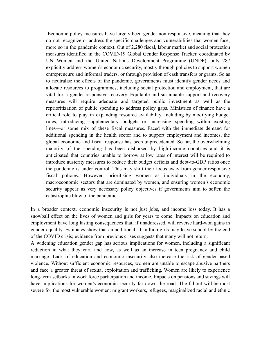Economic policy measures have largely been gender non-responsive, meaning that they do not recognize or address the specific challenges and vulnerabilities that women face, more so in the pandemic context. Out of 2,280 fiscal, labour market and social protection measures identified in the COVID-19 Global Gender Response Tracker, coordinated by UN Women and the United Nations Development Programme (UNDP), only 287 explicitly address women's economic security, mostly through policies to support women entrepreneurs and informal traders, or through provision of cash transfers or grants. So as to neutralise the effects of the pandemic, governments must identify gender needs and allocate resources to programmes, including social protection and employment, that are vital for a gender-responsive recovery. Equitable and sustainable support and recovery measures will require adequate and targeted public investment as well as the reprioritization of public spending to address policy gaps. Ministries of finance have a critical role to play in expanding resource availability, including by modifying budget rules, introducing supplementary budgets or increasing spending within existing lines—or some mix of these fiscal measures. Faced with the immediate demand for additional spending in the health sector and to support employment and incomes, the global economic and fiscal response has been unprecedented. So far, the overwhelming majority of the spending has been disbursed by high-income countries and it is anticipated that countries unable to borrow at low rates of interest will be required to introduce austerity measures to reduce their budget deficits and debt-to-GDP ratios once the pandemic is under control. This may shift their focus away from gender-responsive fiscal policies. However, prioritising women as individuals in the economy, macroeconomic sectors that are dominated by women, and ensuring women's economic security appear as very necessary policy objectives if governments aim to soften the catastrophic blow of the pandemic.

In a broader context, economic insecurity is not just jobs, and income loss today. It has a snowball effect on the lives of women and girls for years to come. Impacts on education and employment have long lasting consequences that, if unaddressed, will reverse hard-won gains in gender equality. Estimates show that an [additional](https://en.unesco.org/covid19/educationresponse/girlseducation) 11 million girls may leave school by the end of the COVID crisis; evidence from previous crises suggests that many will not return.

A widening education gender gap has serious implications for women, including a significant reduction in what they earn and how, as well as an increase in teen pregnancy and child marriage. Lack of education and economic insecurity also increase the risk of gender-based violence. Without sufficient economic resources, women are unable to escape abusive partners and face a greater threat of sexual exploitation and trafficking. Women are likely to experience long-term setbacks in work force participation and income. Impacts on pensions and savings will have implications for women's economic security far down the road. The fallout will be most severe for the most vulnerable women: migrant workers, refugees, marginalized racial and ethnic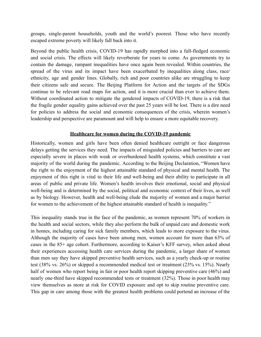groups, single-parent households, youth and the world's poorest. Those who have recently escaped extreme poverty will likely fall back into it.

Beyond the public health crisis, COVID-19 has rapidly morphed into a full-fledged economic and social crisis. The effects will likely reverberate for years to come. As governments try to contain the damage, rampant inequalities have once again been revealed. Within countries, the spread of the virus and its impact have been exacerbated by inequalities along class, race/ ethnicity, age and gender lines. Globally, rich and poor countries alike are struggling to keep their citizens safe and secure. The Beijing Platform for Action and the targets of the SDGs continue to be relevant road maps for action, and it is more crucial than ever to achieve them. Without coordinated action to mitigate the gendered impacts of COVID-19, there is a risk that the fragile gender equality gains achieved over the past 25 years will be lost. There is a dire need for policies to address the social and economic consequences of the crisis, wherein women's leadership and perspective are paramount and will help to ensure a more equitable recovery.

### **Healthcare for women during the COVID-19 pandemic**

Historically, women and girls have been often denied healthcare outright or face dangerous delays getting the services they need. The impacts of misguided policies and barriers to care are especially severe in places with weak or overburdened health systems, which constitute a vast majority of the world during the pandemic. According to the Beijing Declaration, "Women have the right to the enjoyment of the highest attainable standard of physical and mental health. The enjoyment of this right is vital to their life and well-being and their ability to participate in all areas of public and private life. Women's health involves their emotional, social and physical well-being and is determined by the social, political and economic context of their lives, as well as by biology. However, health and well-being elude the majority of women and a major barrier for women to the achievement of the highest attainable standard of health is inequality."

This inequality stands true in the face of the pandemic, as women represent 70% of workers in the health and social sectors, while they also perform the bulk of unpaid care and domestic work in homes, including caring for sick family members, which leads to more exposure to the virus. Although the majority of cases have been among men, women account for more than 63% of cases in the 85+ age cohort. Furthermore, according to Kaiser's KFF survey, when asked about their experiences accessing health care services during the pandemic, a larger share of women than men say they have skipped preventive health services, such as a yearly check-up or routine test (38% vs. 26%) or skipped a recommended medical test or treatment (23% vs. 15%). Nearly half of women who report being in fair or poor health report skipping preventive care (46%) and nearly one-third have skipped recommended tests or treatment (32%). Those in poor health may view themselves as more at risk for COVID exposure and opt to skip routine preventive care. This gap in care among those with the greatest health problems could portend an increase of the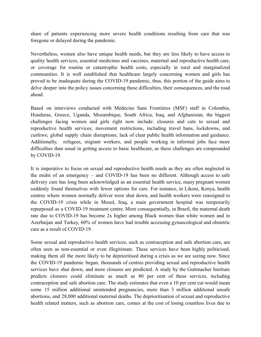share of patients experiencing more severe health conditions resulting from care that was foregone or delayed during the pandemic.

Nevertheless, women also have unique health needs, but they are less likely to have access to quality health services, essential medicines and vaccines, maternal and reproductive health care, or coverage for routine or catastrophic health costs, especially in rural and marginalized communities. It is well established that healthcare largely concerning women and girls has proved to be inadequate during the COVID-19 pandemic, thus, this portion of the guide aims to delve deeper into the policy issues concerning these difficulties, their consequences, and the road ahead.

Based on interviews conducted with Médecins Sans Frontières (MSF) staff in Colombia, Honduras, Greece, Uganda, Mozambique, South Africa, Iraq, and Afghanistan, the biggest challenges facing women and girls right now include: closures and cuts to sexual and reproductive health services; movement restrictions, including travel bans, lockdowns, and curfews; global supply chain disruptions; lack of clear public health information and guidance. Additionally, refugees, migrant workers, and people working in informal jobs face more difficulties than usual in getting access to basic healthcare, as these challenges are compounded by COVID-19.

It is imperative to focus on sexual and reproductive health needs as they are often neglected in the midst of an emergency – and COVID-19 has been no different. Although access to safe delivery care has long been acknowledged as an essential health service, many pregnant women suddenly found themselves with fewer options for care. For instance, in Likoni, Kenya, health centres where women normally deliver were shut down, and health workers were reassigned to the COVID-19 crisis while in Mosul, Iraq, a main government hospital was temporarily repurposed as a COVID-19 treatment centre. More consequentially, in Brazil, the maternal death rate due to COVID-19 has become 2x higher among Black women than white women and in Azerbaijan and Turkey, 60% of women have had trouble accessing gynaecological and obstetric care as a result of COVID-19.

Some sexual and reproductive health services, such as contraception and safe abortion care, are often seen as non-essential or even illegitimate. These services have been highly politicised, making them all the more likely to be deprioritised during a crisis as we are seeing now. Since the COVID-19 pandemic began, thousands of centres providing sexual and reproductive health services have shut down, and more closures are predicted. A study by the Guttmacher Institute predicts closures could eliminate as much as 80 per cent of these services, including contraception and safe abortion care. The study estimates that even a 10 per cent cut would mean some 15 million additional unintended pregnancies, more than 3 million additional unsafe abortions, and 28,000 additional maternal deaths. The deprioritisation of sexual and reproductive health related matters, such as abortion care, comes at the cost of losing countless lives due to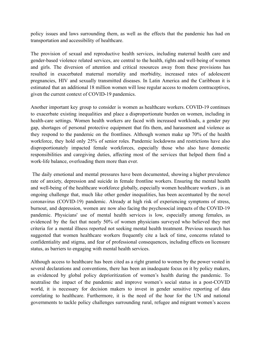policy issues and laws surrounding them, as well as the effects that the pandemic has had on transportation and accessibility of healthcare.

The provision of sexual and reproductive health services, including maternal health care and gender-based violence related services, are central to the health, rights and well-being of women and girls. The diversion of attention and critical resources away from these provisions has resulted in exacerbated maternal mortality and morbidity, increased rates of adolescent pregnancies, HIV and sexually transmitted diseases. In Latin America and the Caribbean it is estimated that an additional 18 million women will lose regular access to modern contraceptives, given the current context of COVID-19 pandemics.

Another important key group to consider is women as healthcare workers. COVID-19 continues to exacerbate existing inequalities and place a disproportionate burden on women, including in health-care settings. Women health workers are faced with increased workloads, a gender pay gap, shortages of personal protective equipment that fits them, and harassment and violence as they respond to the pandemic on the frontlines. Although women make up 70% of the health workforce, they hold only 25% of senior roles. Pandemic lockdowns and restrictions have also disproportionately impacted female workforces, especially those who also have domestic responsibilities and caregiving duties, affecting most of the services that helped them find a work-life balance, overloading them more than ever.

The daily emotional and mental pressures have been documented, showing a higher prevalence rate of anxiety, depression and suicide in female frontline workers. Ensuring the mental health and well-being of the healthcare workforce globally, especially women healthcare workers , is an ongoing challenge that, much like other gender inequalities, has been accentuated by the novel coronavirus (COVID-19) pandemic. Already at high risk of experiencing symptoms of stress, burnout, and depression, women are now also facing the psychosocial impacts of the COVID-19 pandemic. Physicians' use of mental health services is low, especially among females, as evidenced by the fact that nearly 50% of women physicians surveyed who believed they met criteria for a mental illness reported not seeking mental health treatment. Previous research has suggested that women healthcare workers frequently cite a lack of time, concerns related to confidentiality and stigma, and fear of professional consequences, including effects on licensure status, as barriers to engaging with mental health services.

Although access to healthcare has been cited as a right granted to women by the power vested in several declarations and conventions, there has been an inadequate focus on it by policy makers, as evidenced by global policy deprioritization of women's health during the pandemic. To neutralise the impact of the pandemic and improve women's social status in a post-COVID world, it is necessary for decision makers to invest in gender sensitive reporting of data correlating to healthcare. Furthermore, it is the need of the hour for the UN and national governments to tackle policy challenges surrounding rural, refugee and migrant women's access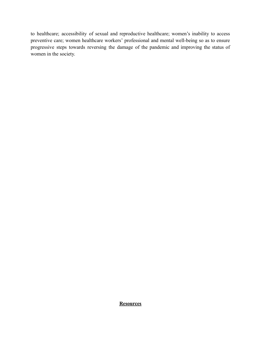to healthcare; accessibility of sexual and reproductive healthcare; women's inability to access preventive care; women healthcare workers' professional and mental well-being so as to ensure progressive steps towards reversing the damage of the pandemic and improving the status of women in the society.

**Resources**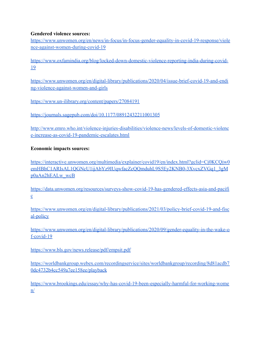#### **Gendered violence sources:**

[https://www.unwomen.org/en/news/in-focus/in-focus-gender-equality-in-covid-19-response/viole](https://www.unwomen.org/en/news/in-focus/in-focus-gender-equality-in-covid-19-response/violence-against-women-during-covid-19) [nce-against-women-during-covid-19](https://www.unwomen.org/en/news/in-focus/in-focus-gender-equality-in-covid-19-response/violence-against-women-during-covid-19)

[https://www.oxfamindia.org/blog/locked-down-domestic-violence-reporting-india-during-covid-](https://www.oxfamindia.org/blog/locked-down-domestic-violence-reporting-india-during-covid-19)[19](https://www.oxfamindia.org/blog/locked-down-domestic-violence-reporting-india-during-covid-19)

[https://www.unwomen.org/en/digital-library/publications/2020/04/issue-brief-covid-19-and-endi](https://www.unwomen.org/en/digital-library/publications/2020/04/issue-brief-covid-19-and-ending-violence-against-women-and-girls) [ng-violence-against-women-and-girls](https://www.unwomen.org/en/digital-library/publications/2020/04/issue-brief-covid-19-and-ending-violence-against-women-and-girls)

<https://www.un-ilibrary.org/content/papers/27084191>

<https://journals.sagepub.com/doi/10.1177/08912432211001305>

[http://www.emro.who.int/violence-injuries-disabilities/violence-news/levels-of-domestic-violenc](http://www.emro.who.int/violence-injuries-disabilities/violence-news/levels-of-domestic-violence-increase-as-covid-19-pandemic-escalates.html) [e-increase-as-covid-19-pandemic-escalates.html](http://www.emro.who.int/violence-injuries-disabilities/violence-news/levels-of-domestic-violence-increase-as-covid-19-pandemic-escalates.html)

# **Economic impacts sources:**

[https://interactive.unwomen.org/multimedia/explainer/covid19/en/index.html?gclid=Cj0KCQjw0](https://interactive.unwomen.org/multimedia/explainer/covid19/en/index.html?gclid=Cj0KCQjw0emHBhC1ARIsAL1QGNcU1ijAbYz9IUqwfacZcQQmduhL9S5Ey2KNB0-3XvcxZVGq1_3gMp0aAn2hEALw_wcB) [emHBhC1ARIsAL1QGNcU1ijAbYz9IUqwfacZcQQmduhL9S5Ey2KNB0-3XvcxZVGq1\\_3gM](https://interactive.unwomen.org/multimedia/explainer/covid19/en/index.html?gclid=Cj0KCQjw0emHBhC1ARIsAL1QGNcU1ijAbYz9IUqwfacZcQQmduhL9S5Ey2KNB0-3XvcxZVGq1_3gMp0aAn2hEALw_wcB) [p0aAn2hEALw\\_wcB](https://interactive.unwomen.org/multimedia/explainer/covid19/en/index.html?gclid=Cj0KCQjw0emHBhC1ARIsAL1QGNcU1ijAbYz9IUqwfacZcQQmduhL9S5Ey2KNB0-3XvcxZVGq1_3gMp0aAn2hEALw_wcB)

[https://data.unwomen.org/resources/surveys-show-covid-19-has-gendered-effects-asia-and-pacifi](https://data.unwomen.org/resources/surveys-show-covid-19-has-gendered-effects-asia-and-pacific) [c](https://data.unwomen.org/resources/surveys-show-covid-19-has-gendered-effects-asia-and-pacific)

[https://www.unwomen.org/en/digital-library/publications/2021/03/policy-brief-covid-19-and-fisc](https://www.unwomen.org/en/digital-library/publications/2021/03/policy-brief-covid-19-and-fiscal-policy) [al-policy](https://www.unwomen.org/en/digital-library/publications/2021/03/policy-brief-covid-19-and-fiscal-policy)

[https://www.unwomen.org/en/digital-library/publications/2020/09/gender-equality-in-the-wake-o](https://www.unwomen.org/en/digital-library/publications/2020/09/gender-equality-in-the-wake-of-covid-19) [f-covid-19](https://www.unwomen.org/en/digital-library/publications/2020/09/gender-equality-in-the-wake-of-covid-19)

<https://www.bls.gov/news.release/pdf/empsit.pdf>

[https://worldbankgroup.webex.com/recordingservice/sites/worldbankgroup/recording/8d81acdb7](https://worldbankgroup.webex.com/recordingservice/sites/worldbankgroup/recording/8d81acdb70dc4732b4cc549a7ee158ee/playback) [0dc4732b4cc549a7ee158ee/playback](https://worldbankgroup.webex.com/recordingservice/sites/worldbankgroup/recording/8d81acdb70dc4732b4cc549a7ee158ee/playback)

[https://www.brookings.edu/essay/why-has-covid-19-been-especially-harmful-for-working-wome](https://www.brookings.edu/essay/why-has-covid-19-been-especially-harmful-for-working-women/) [n/](https://www.brookings.edu/essay/why-has-covid-19-been-especially-harmful-for-working-women/)